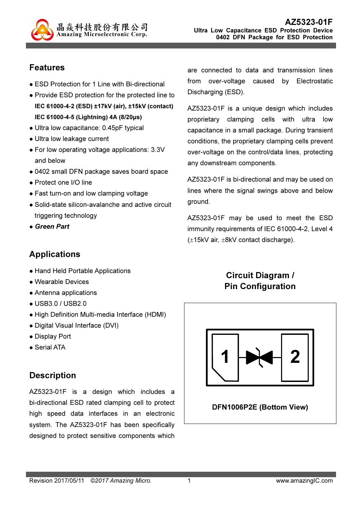

## Features

- ESD Protection for 1 Line with Bi-directional
- Provide ESD protection for the protected line to IEC 61000-4-2 (ESD) ±17kV (air), ±15kV (contact) IEC 61000-4-5 (Lightning) 4A (8/20µs)
- Ultra low capacitance: 0.45pF typical
- Ultra low leakage current
- For low operating voltage applications: 3.3V and below
- 0402 small DFN package saves board space
- Protect one I/O line
- Fast turn-on and low clamping voltage
- Solid-state silicon-avalanche and active circuit triggering technology
- Green Part

#### Applications

- Hand Held Portable Applications
- Wearable Devices
- Antenna applications
- USB3.0 / USB2.0
- High Definition Multi-media Interface (HDMI)
- Digital Visual Interface (DVI)
- Display Port
- Serial ATA

#### **Description**

AZ5323-01F is a design which includes a bi-directional ESD rated clamping cell to protect high speed data interfaces in an electronic system. The AZ5323-01F has been specifically designed to protect sensitive components which

are connected to data and transmission lines from over-voltage caused by Electrostatic Discharging (ESD).

AZ5323-01F is a unique design which includes proprietary clamping cells with ultra low capacitance in a small package. During transient conditions, the proprietary clamping cells prevent over-voltage on the control/data lines, protecting any downstream components.

AZ5323-01F is bi-directional and may be used on lines where the signal swings above and below ground.

AZ5323-01F may be used to meet the ESD immunity requirements of IEC 61000-4-2, Level 4 (±15kV air, ±8kV contact discharge).

#### Circuit Diagram / Pin Configuration

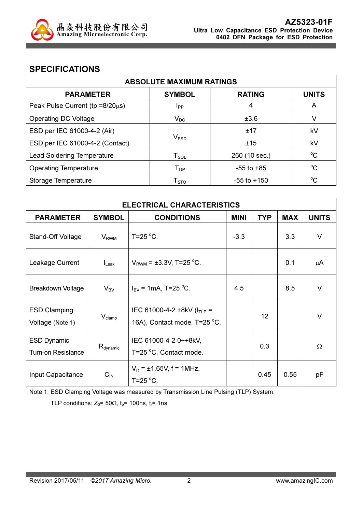

#### SPECIFICATIONS

| <b>ABSOLUTE MAXIMUM RATINGS</b>         |                                |                 |              |
|-----------------------------------------|--------------------------------|-----------------|--------------|
| <b>PARAMETER</b>                        | <b>SYMBOL</b>                  | <b>RATING</b>   | <b>UNITS</b> |
| Peak Pulse Current ( $tp = 8/20\mu s$ ) | <b>I</b> <sub>PP</sub>         | 4               | A            |
| <b>Operating DC Voltage</b>             | $V_{DC}$                       | ±3.6            | V            |
| ESD per IEC 61000-4-2 (Air)             |                                | ±17             | kV           |
| ESD per IEC 61000-4-2 (Contact)         | $V_{ESD}$                      | ±15             | kV           |
| <b>Lead Soldering Temperature</b>       | ${\mathsf T}_{\text{\rm SOL}}$ | 260 (10 sec.)   | $^{\circ}C$  |
| <b>Operating Temperature</b>            | $\mathsf{T}_{\mathsf{OP}}$     | $-55$ to $+85$  | $^{\circ}C$  |
| Storage Temperature                     | ${\mathsf T}_{\text{STO}}$     | $-55$ to $+150$ | °C           |

| <b>ELECTRICAL CHARACTERISTICS</b>               |                      |                                                                  |             |                 |            |              |
|-------------------------------------------------|----------------------|------------------------------------------------------------------|-------------|-----------------|------------|--------------|
| <b>PARAMETER</b>                                | <b>SYMBOL</b>        | <b>CONDITIONS</b>                                                | <b>MINI</b> | <b>TYP</b>      | <b>MAX</b> | <b>UNITS</b> |
| Stand-Off Voltage                               | $V_{RWM}$            | T=25 $\degree$ C.                                                | $-3.3$      |                 | 3.3        | $\vee$       |
| Leakage Current                                 | $I_{\text{Leak}}$    | $V_{RWM} = \pm 3.3V$ , T=25 °C.                                  |             |                 | 0.1        | μA           |
| Breakdown Voltage                               | $V_{BV}$             | $I_{\text{BV}}$ = 1mA, T=25 °C.                                  | 4.5         |                 | 8.5        | $\vee$       |
| <b>ESD Clamping</b><br>Voltage (Note 1)         | $V_{\text{clamp}}$   | IEC 61000-4-2 +8kV ( $I_{TLP}$ =<br>16A), Contact mode, T=25 °C. |             | 12 <sup>2</sup> |            | $\vee$       |
| <b>ESD Dynamic</b><br><b>Turn-on Resistance</b> | $R_{\text{dynamic}}$ | IEC 61000-4-2 0~+8kV,<br>T=25 °C, Contact mode.                  |             | 0.3             |            | $\Omega$     |
| Input Capacitance                               | $C_{IN}$             | $V_R = \pm 1.65V$ , f = 1MHz,<br>T=25 $\mathrm{^{\circ}C}$ .     |             | 0.45            | 0.55       | pF           |

Note 1: ESD Clamping Voltage was measured by Transmission Line Pulsing (TLP) System.

TLP conditions:  $Z_0$ = 50 $\Omega$ ,  $t_p$ = 100ns,  $t_r$ = 1ns.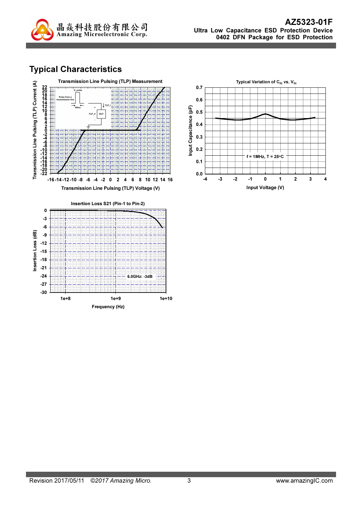

# Typical Characteristics



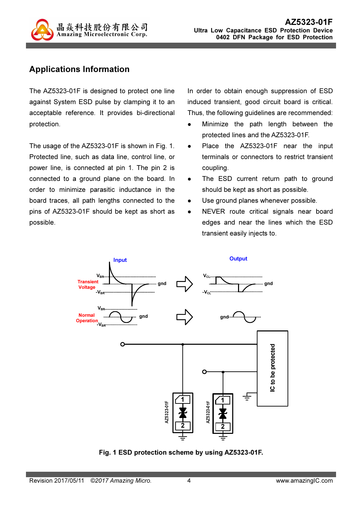

## Applications Information

The AZ5323-01F is designed to protect one line against System ESD pulse by clamping it to an acceptable reference. It provides bi-directional protection.

The usage of the AZ5323-01F is shown in Fig. 1. Protected line, such as data line, control line, or power line, is connected at pin 1. The pin 2 is connected to a ground plane on the board. In order to minimize parasitic inductance in the board traces, all path lengths connected to the pins of AZ5323-01F should be kept as short as possible.

In order to obtain enough suppression of ESD induced transient, good circuit board is critical. Thus, the following guidelines are recommended:

- Minimize the path length between the protected lines and the AZ5323-01F.
- Place the AZ5323-01F near the input terminals or connectors to restrict transient coupling.
- The ESD current return path to ground should be kept as short as possible.
- Use ground planes whenever possible.
- NEVER route critical signals near board edges and near the lines which the ESD transient easily injects to.



Fig. 1 ESD protection scheme by using AZ5323-01F.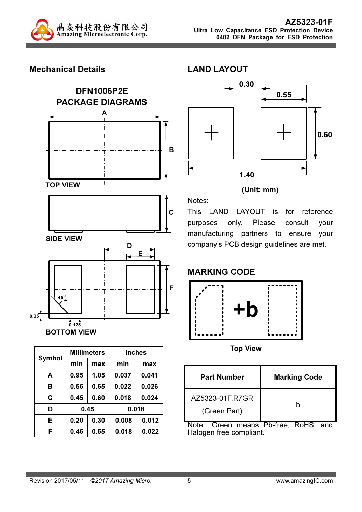

#### Mechanical Details



| Symbol | <b>Millimeters</b> |      | <b>Inches</b> |       |  |
|--------|--------------------|------|---------------|-------|--|
|        | min                | max  | min           | max   |  |
| A      | 0.95               | 1.05 | 0.037         | 0.041 |  |
| в      | 0.55               | 0.65 | 0.022         | 0.026 |  |
| C      | 0.45               | 0.60 | 0.018         | 0.024 |  |
| D      | 0.45               |      |               | 0.018 |  |
| E      | 0.20               | 0.30 | 0.008         | 0.012 |  |
| F      | 0.45               | 0.55 | 0.018         | 0.022 |  |



#### (Unit: mm)

This LAND LAYOUT is for reference purposes only. Please consult your manufacturing partners to ensure your company's PCB design guidelines are met.

## MARKING CODE

Notes:

LAND LAYOUT



Top View

| <b>Part Number</b>              | <b>Marking Code</b> |
|---------------------------------|---------------------|
| AZ5323-01F.R7GR<br>(Green Part) |                     |

Note : Green means Pb-free, RoHS, and Halogen free compliant.